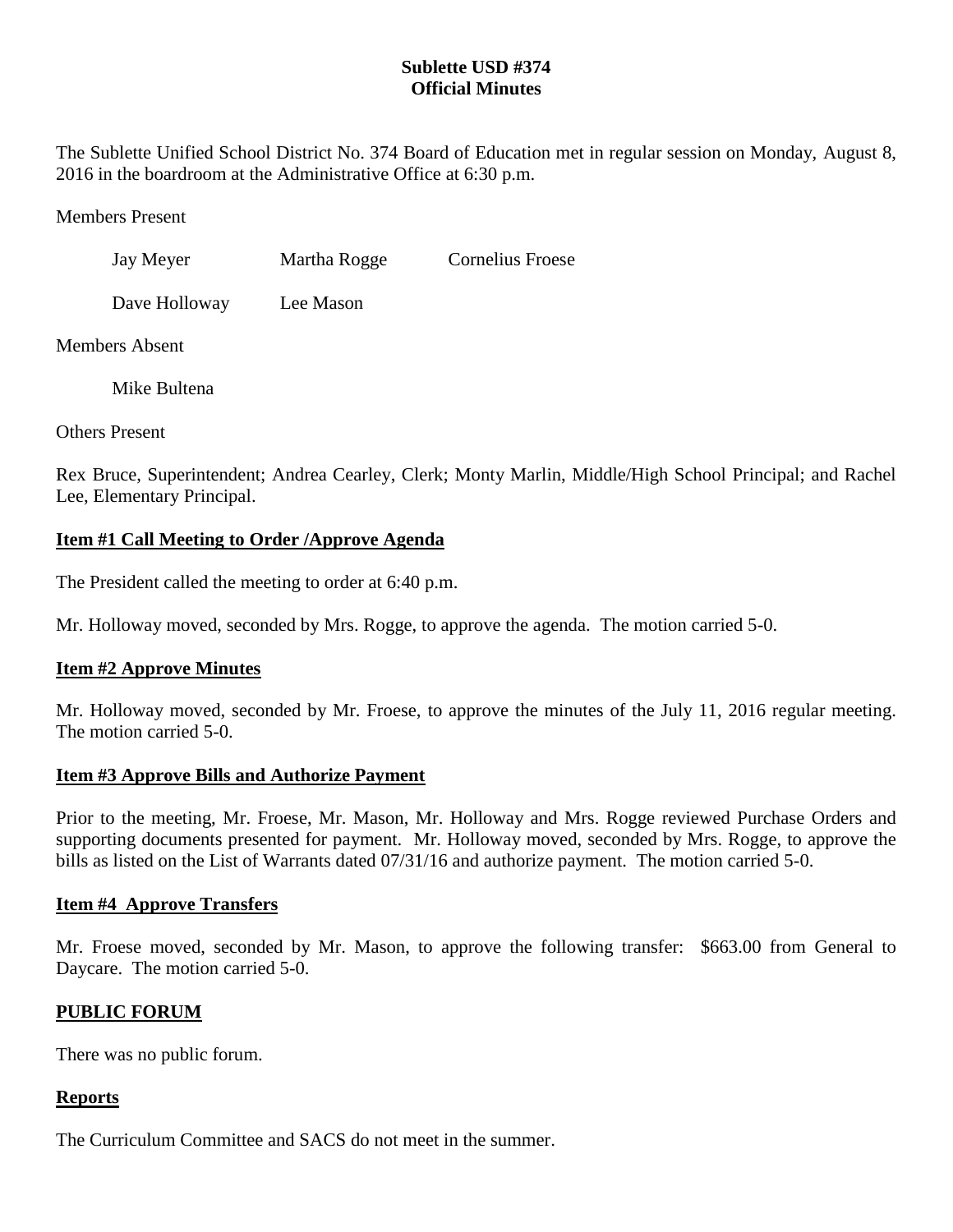## **Sublette USD #374 Official Minutes**

The Sublette Unified School District No. 374 Board of Education met in regular session on Monday, August 8, 2016 in the boardroom at the Administrative Office at 6:30 p.m.

Members Present

| Jay Meyer | Martha Rogge | Cornelius Froese |
|-----------|--------------|------------------|
|           |              |                  |

Dave Holloway Lee Mason

Members Absent

Mike Bultena

Others Present

Rex Bruce, Superintendent; Andrea Cearley, Clerk; Monty Marlin, Middle/High School Principal; and Rachel Lee, Elementary Principal.

## **Item #1 Call Meeting to Order /Approve Agenda**

The President called the meeting to order at 6:40 p.m.

Mr. Holloway moved, seconded by Mrs. Rogge, to approve the agenda. The motion carried 5-0.

# **Item #2 Approve Minutes**

Mr. Holloway moved, seconded by Mr. Froese, to approve the minutes of the July 11, 2016 regular meeting. The motion carried 5-0.

### **Item #3 Approve Bills and Authorize Payment**

Prior to the meeting, Mr. Froese, Mr. Mason, Mr. Holloway and Mrs. Rogge reviewed Purchase Orders and supporting documents presented for payment. Mr. Holloway moved, seconded by Mrs. Rogge, to approve the bills as listed on the List of Warrants dated 07/31/16 and authorize payment. The motion carried 5-0.

### **Item #4 Approve Transfers**

Mr. Froese moved, seconded by Mr. Mason, to approve the following transfer: \$663.00 from General to Daycare. The motion carried 5-0.

# **PUBLIC FORUM**

There was no public forum.

### **Reports**

The Curriculum Committee and SACS do not meet in the summer.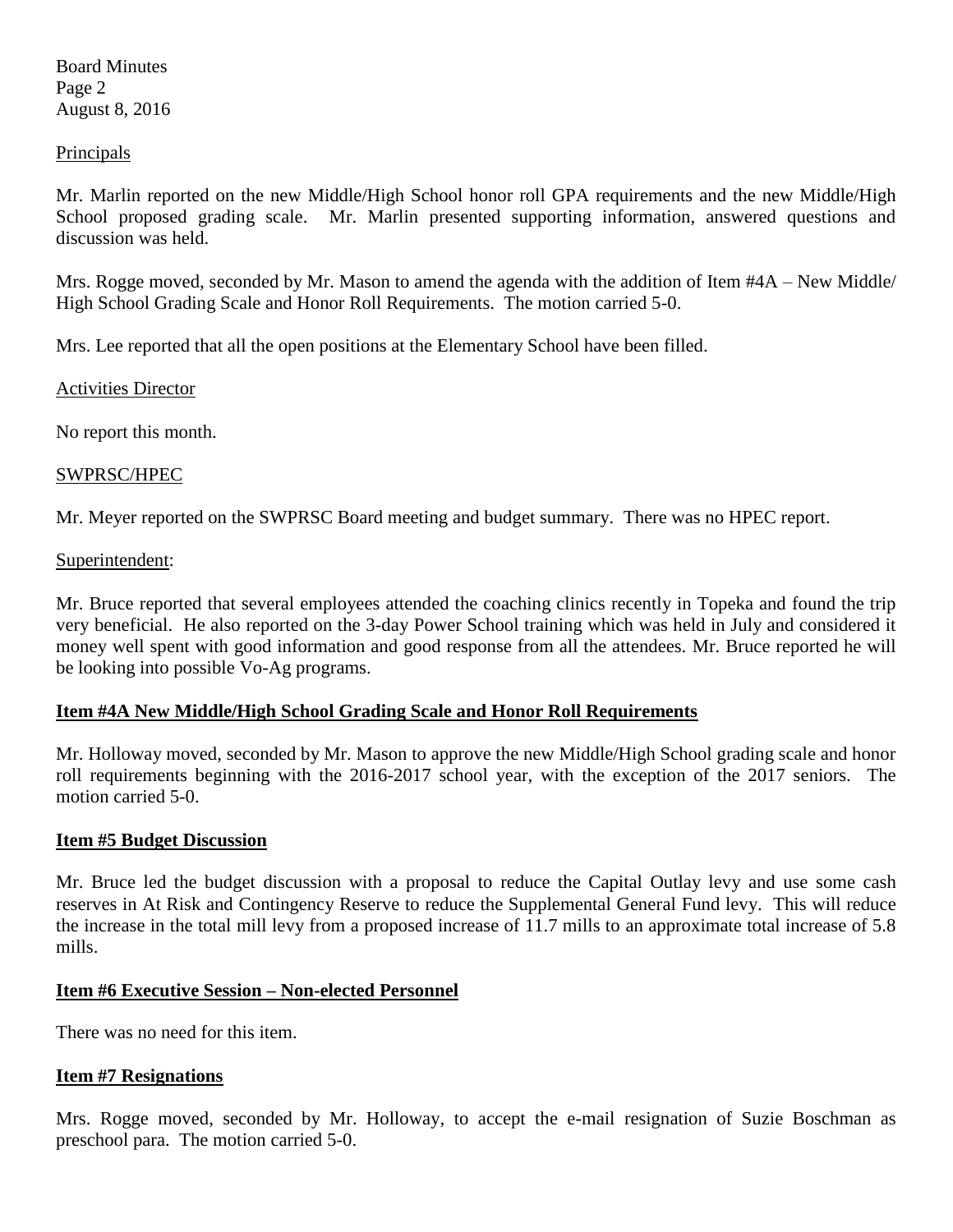Board Minutes Page 2 August 8, 2016

### **Principals**

Mr. Marlin reported on the new Middle/High School honor roll GPA requirements and the new Middle/High School proposed grading scale. Mr. Marlin presented supporting information, answered questions and discussion was held.

Mrs. Rogge moved, seconded by Mr. Mason to amend the agenda with the addition of Item #4A – New Middle/ High School Grading Scale and Honor Roll Requirements. The motion carried 5-0.

Mrs. Lee reported that all the open positions at the Elementary School have been filled.

Activities Director

No report this month.

### SWPRSC/HPEC

Mr. Meyer reported on the SWPRSC Board meeting and budget summary. There was no HPEC report.

#### Superintendent:

Mr. Bruce reported that several employees attended the coaching clinics recently in Topeka and found the trip very beneficial. He also reported on the 3-day Power School training which was held in July and considered it money well spent with good information and good response from all the attendees. Mr. Bruce reported he will be looking into possible Vo-Ag programs.

### **Item #4A New Middle/High School Grading Scale and Honor Roll Requirements**

Mr. Holloway moved, seconded by Mr. Mason to approve the new Middle/High School grading scale and honor roll requirements beginning with the 2016-2017 school year, with the exception of the 2017 seniors. The motion carried 5-0.

#### **Item #5 Budget Discussion**

Mr. Bruce led the budget discussion with a proposal to reduce the Capital Outlay levy and use some cash reserves in At Risk and Contingency Reserve to reduce the Supplemental General Fund levy. This will reduce the increase in the total mill levy from a proposed increase of 11.7 mills to an approximate total increase of 5.8 mills.

#### **Item #6 Executive Session – Non-elected Personnel**

There was no need for this item.

### **Item #7 Resignations**

Mrs. Rogge moved, seconded by Mr. Holloway, to accept the e-mail resignation of Suzie Boschman as preschool para. The motion carried 5-0.